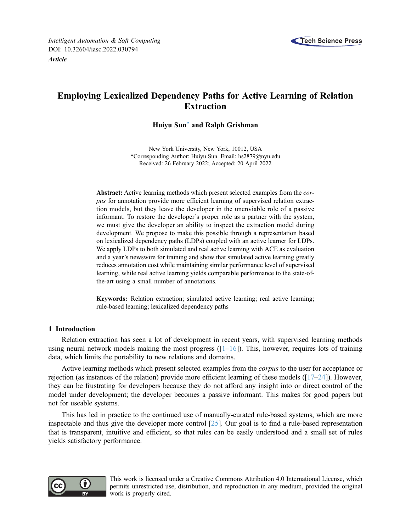

# <span id="page-0-0"></span>Employing Lexicalized Dependency Paths for Active Learning of Relation Extraction

# Huiyu Sun[\\*](#page-0-0) and Ralph Grishman

New York University, New York, 10012, USA \*Corresponding Author: Huiyu Sun. Email: [hs2879@nyu.edu](mailto:hs2879@nyu.edu) Received: 26 February 2022; Accepted: 20 April 2022

Abstract: Active learning methods which present selected examples from the corpus for annotation provide more efficient learning of supervised relation extraction models, but they leave the developer in the unenviable role of a passive informant. To restore the developer's proper role as a partner with the system, we must give the developer an ability to inspect the extraction model during development. We propose to make this possible through a representation based on lexicalized dependency paths (LDPs) coupled with an active learner for LDPs. We apply LDPs to both simulated and real active learning with ACE as evaluation and a year's newswire for training and show that simulated active learning greatly reduces annotation cost while maintaining similar performance level of supervised learning, while real active learning yields comparable performance to the state-ofthe-art using a small number of annotations.

Keywords: Relation extraction; simulated active learning; real active learning; rule-based learning; lexicalized dependency paths

# 1 Introduction

Relation extraction has seen a lot of development in recent years, with supervised learning methods using neural network models making the most progress ( $[1-16]$  $[1-16]$  $[1-16]$  $[1-16]$ ). This, however, requires lots of training data, which limits the portability to new relations and domains.

Active learning methods which present selected examples from the corpus to the user for acceptance or rejection (as instances of the relation) provide more efficient learning of these models ( $[17–24]$  $[17–24]$  $[17–24]$  $[17–24]$  $[17–24]$ ). However, they can be frustrating for developers because they do not afford any insight into or direct control of the model under development; the developer becomes a passive informant. This makes for good papers but not for useable systems.

This has led in practice to the continued use of manually-curated rule-based systems, which are more inspectable and thus give the developer more control [[25\]](#page-7-3). Our goal is to find a rule-based representation that is transparent, intuitive and efficient, so that rules can be easily understood and a small set of rules yields satisfactory performance.



This work is licensed under a Creative Commons Attribution 4.0 International License, which permits unrestricted use, distribution, and reproduction in any medium, provided the original work is properly cited.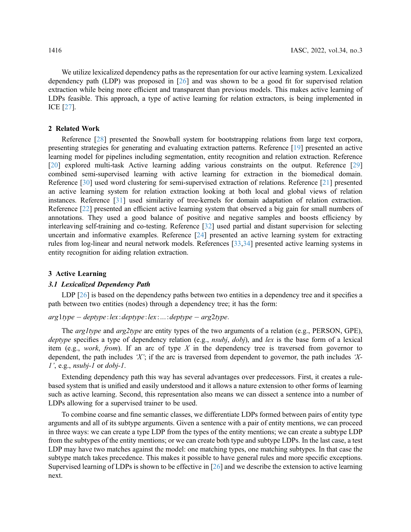We utilize lexicalized dependency paths as the representation for our active learning system. Lexicalized dependency path (LDP) was proposed in [[26\]](#page-8-0) and was shown to be a good fit for supervised relation extraction while being more efficient and transparent than previous models. This makes active learning of LDPs feasible. This approach, a type of active learning for relation extractors, is being implemented in ICE [\[27](#page-8-1)].

## 2 Related Work

Reference [[28\]](#page-8-2) presented the Snowball system for bootstrapping relations from large text corpora, presenting strategies for generating and evaluating extraction patterns. Reference [\[19](#page-7-4)] presented an active learning model for pipelines including segmentation, entity recognition and relation extraction. Reference [[20](#page-7-5)] explored multi-task Active learning adding various constraints on the output. Reference [[29\]](#page-8-3) combined semi-supervised learning with active learning for extraction in the biomedical domain. Reference [[30\]](#page-8-4) used word clustering for semi-supervised extraction of relations. Reference [[21](#page-7-6)] presented an active learning system for relation extraction looking at both local and global views of relation instances. Reference [[31](#page-8-5)] used similarity of tree-kernels for domain adaptation of relation extraction. Reference [[22\]](#page-7-7) presented an efficient active learning system that observed a big gain for small numbers of annotations. They used a good balance of positive and negative samples and boosts efficiency by interleaving self-training and co-testing. Reference [[32\]](#page-8-6) used partial and distant supervision for selecting uncertain and informative examples. Reference [\[24](#page-7-2)] presented an active learning system for extracting rules from log-linear and neural network models. References [[33](#page-8-7)[,34](#page-8-8)] presented active learning systems in entity recognition for aiding relation extraction.

#### 3 Active Learning

#### 3.1 Lexicalized Dependency Path

LDP [[26\]](#page-8-0) is based on the dependency paths between two entities in a dependency tree and it specifies a path between two entities (nodes) through a dependency tree; it has the form:

#### $arg1type - deptype: lex: deptype: lex:...: deptype - arg2type.$

The *arg1type* and *arg2type* are entity types of the two arguments of a relation (e.g., PERSON, GPE), deptype specifies a type of dependency relation (e.g., nsubj, dobj), and lex is the base form of a lexical item (e.g., *work, from*). If an arc of type X in the dependency tree is traversed from governor to dependent, the path includes 'X'; if the arc is traversed from dependent to governor, the path includes 'X- $1'$ , e.g., *nsubj-1* or *dobj-1*.

Extending dependency path this way has several advantages over predecessors. First, it creates a rulebased system that is unified and easily understood and it allows a nature extension to other forms of learning such as active learning. Second, this representation also means we can dissect a sentence into a number of LDPs allowing for a supervised trainer to be used.

To combine coarse and fine semantic classes, we differentiate LDPs formed between pairs of entity type arguments and all of its subtype arguments. Given a sentence with a pair of entity mentions, we can proceed in three ways: we can create a type LDP from the types of the entity mentions; we can create a subtype LDP from the subtypes of the entity mentions; or we can create both type and subtype LDPs. In the last case, a test LDP may have two matches against the model: one matching types, one matching subtypes. In that case the subtype match takes precedence. This makes it possible to have general rules and more specific exceptions. Supervised learning of LDPs is shown to be effective in [\[26](#page-8-0)] and we describe the extension to active learning next.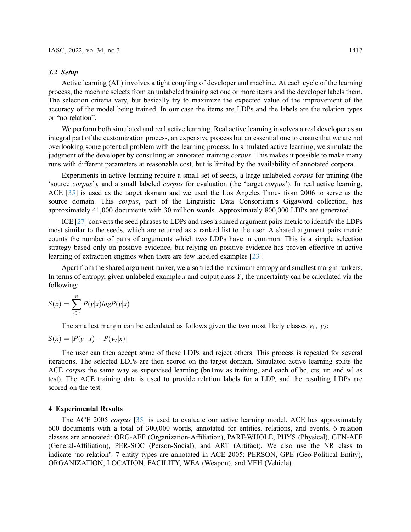#### 3.2 Setup

Active learning (AL) involves a tight coupling of developer and machine. At each cycle of the learning process, the machine selects from an unlabeled training set one or more items and the developer labels them. The selection criteria vary, but basically try to maximize the expected value of the improvement of the accuracy of the model being trained. In our case the items are LDPs and the labels are the relation types or "no relation".

We perform both simulated and real active learning. Real active learning involves a real developer as an integral part of the customization process, an expensive process but an essential one to ensure that we are not overlooking some potential problem with the learning process. In simulated active learning, we simulate the judgment of the developer by consulting an annotated training *corpus*. This makes it possible to make many runs with different parameters at reasonable cost, but is limited by the availability of annotated corpora.

Experiments in active learning require a small set of seeds, a large unlabeled corpus for training (the 'source corpus'), and a small labeled corpus for evaluation (the 'target corpus'). In real active learning, ACE [[35\]](#page-8-9) is used as the target domain and we used the Los Angeles Times from 2006 to serve as the source domain. This *corpus*, part of the Linguistic Data Consortium's Gigaword collection, has approximately 41,000 documents with 30 million words. Approximately 800,000 LDPs are generated.

ICE [\[27](#page-8-1)] converts the seed phrases to LDPs and uses a shared argument pairs metric to identify the LDPs most similar to the seeds, which are returned as a ranked list to the user. A shared argument pairs metric counts the number of pairs of arguments which two LDPs have in common. This is a simple selection strategy based only on positive evidence, but relying on positive evidence has proven effective in active learning of extraction engines when there are few labeled examples [[23\]](#page-7-8).

Apart from the shared argument ranker, we also tried the maximum entropy and smallest margin rankers. In terms of entropy, given unlabeled example x and output class Y, the uncertainty can be calculated via the following:

$$
S(x) = \sum_{y \in Y}^{n} P(y|x)logP(y|x)
$$

The smallest margin can be calculated as follows given the two most likely classes  $y_1$ ,  $y_2$ :

$$
S(x) = |P(y_1|x) - P(y_2|x)|
$$

The user can then accept some of these LDPs and reject others. This process is repeated for several iterations. The selected LDPs are then scored on the target domain. Simulated active learning splits the ACE *corpus* the same way as supervised learning (bn+nw as training, and each of bc, cts, un and wl as test). The ACE training data is used to provide relation labels for a LDP, and the resulting LDPs are scored on the test.

# 4 Experimental Results

The ACE 2005 *corpus* [[35\]](#page-8-9) is used to evaluate our active learning model. ACE has approximately 600 documents with a total of 300,000 words, annotated for entities, relations, and events. 6 relation classes are annotated: ORG-AFF (Organization-Affiliation), PART-WHOLE, PHYS (Physical), GEN-AFF (General-Affiliation), PER-SOC (Person-Social), and ART (Artifact). We also use the NR class to indicate 'no relation'. 7 entity types are annotated in ACE 2005: PERSON, GPE (Geo-Political Entity), ORGANIZATION, LOCATION, FACILITY, WEA (Weapon), and VEH (Vehicle).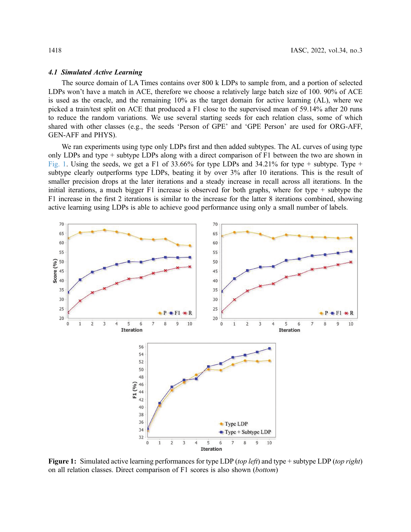#### 4.1 Simulated Active Learning

The source domain of LA Times contains over 800 k LDPs to sample from, and a portion of selected LDPs won't have a match in ACE, therefore we choose a relatively large batch size of 100. 90% of ACE is used as the oracle, and the remaining 10% as the target domain for active learning (AL), where we picked a train/test split on ACE that produced a F1 close to the supervised mean of 59.14% after 20 runs to reduce the random variations. We use several starting seeds for each relation class, some of which shared with other classes (e.g., the seeds 'Person of GPE' and 'GPE Person' are used for ORG-AFF, GEN-AFF and PHYS).

We ran experiments using type only LDPs first and then added subtypes. The AL curves of using type only LDPs and type + subtype LDPs along with a direct comparison of F1 between the two are shown in [Fig. 1.](#page-3-0) Using the seeds, we get a F1 of 33.66% for type LDPs and 34.21% for type + subtype. Type + subtype clearly outperforms type LDPs, beating it by over 3% after 10 iterations. This is the result of smaller precision drops at the later iterations and a steady increase in recall across all iterations. In the initial iterations, a much bigger F1 increase is observed for both graphs, where for type + subtype the F1 increase in the first 2 iterations is similar to the increase for the latter 8 iterations combined, showing active learning using LDPs is able to achieve good performance using only a small number of labels.

<span id="page-3-0"></span>

Figure 1: Simulated active learning performances for type LDP (top left) and type + subtype LDP (top right) on all relation classes. Direct comparison of F1 scores is also shown (bottom)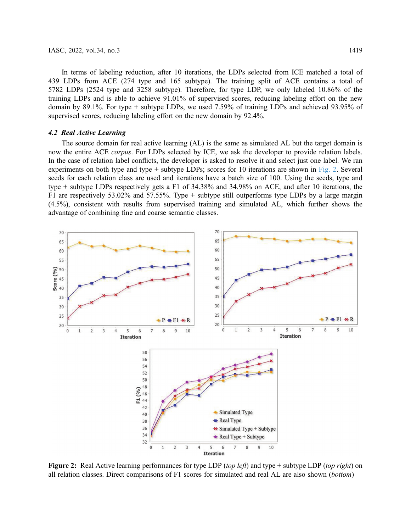In terms of labeling reduction, after 10 iterations, the LDPs selected from ICE matched a total of 439 LDPs from ACE (274 type and 165 subtype). The training split of ACE contains a total of 5782 LDPs (2524 type and 3258 subtype). Therefore, for type LDP, we only labeled 10.86% of the training LDPs and is able to achieve 91.01% of supervised scores, reducing labeling effort on the new domain by 89.1%. For type + subtype LDPs, we used 7.59% of training LDPs and achieved 93.95% of supervised scores, reducing labeling effort on the new domain by 92.4%.

## 4.2 Real Active Learning

The source domain for real active learning (AL) is the same as simulated AL but the target domain is now the entire ACE *corpus*. For LDPs selected by ICE, we ask the developer to provide relation labels. In the case of relation label conflicts, the developer is asked to resolve it and select just one label. We ran experiments on both type and type + subtype LDPs; scores for 10 iterations are shown in [Fig. 2](#page-4-0). Several seeds for each relation class are used and iterations have a batch size of 100. Using the seeds, type and type + subtype LDPs respectively gets a F1 of 34.38% and 34.98% on ACE, and after 10 iterations, the F1 are respectively 53.02% and 57.55%. Type + subtype still outperforms type LDPs by a large margin (4.5%), consistent with results from supervised training and simulated AL, which further shows the advantage of combining fine and coarse semantic classes.

<span id="page-4-0"></span>

Figure 2: Real Active learning performances for type LDP (top left) and type + subtype LDP (top right) on all relation classes. Direct comparisons of F1 scores for simulated and real AL are also shown (bottom)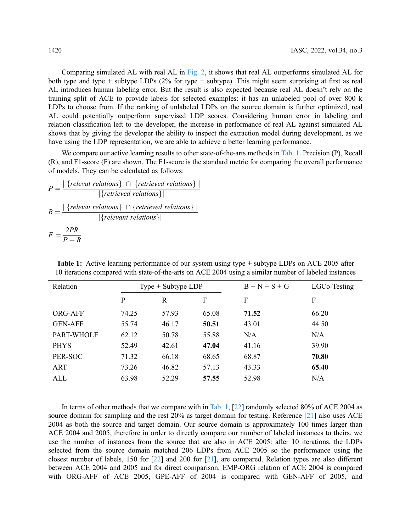Comparing simulated AL with real AL in [Fig. 2](#page-4-0), it shows that real AL outperforms simulated AL for both type and type + subtype LDPs  $(2\%$  for type + subtype). This might seem surprising at first as real AL introduces human labeling error. But the result is also expected because real AL doesn't rely on the training split of ACE to provide labels for selected examples: it has an unlabeled pool of over 800 k LDPs to choose from. If the ranking of unlabeled LDPs on the source domain is further optimized, real AL could potentially outperform supervised LDP scores. Considering human error in labeling and relation classification left to the developer, the increase in performance of real AL against simulated AL shows that by giving the developer the ability to inspect the extraction model during development, as we have using the LDP representation, we are able to achieve a better learning performance.

We compare our active learning results to other state-of-the-arts methods in [Tab. 1](#page-5-0). Precision (P), Recall (R), and F1-score (F) are shown. The F1-score is the standard metric for comparing the overall performance of models. They can be calculated as follows:

$$
P = \frac{|\{relevant\ relations\} \cap \{retrieved\ relations\}|}{|\{retrieved\ relations\}|}
$$

$$
R = \frac{|\{relevant\ relations\} \cap \{retrieved\ relations\}|}{|\{relevant\ relations\}|}
$$

$$
F = \frac{2PR}{P+R}
$$

Relation  $Type + Subtype LDP$   $B + N + S + G$   $LGCo-Testing$ P R F F F ORG-AFF 74.25 57.93 65.08 **71.52** 66.20 GEN-AFF 55.74 46.17 50.51 43.01 44.50 PART-WHOLE 62.12 50.78 55.88 N/A N/A PHYS 52.49 42.61 **47.04** 41.16 39.90 PER-SOC 71.32 66.18 68.65 68.87 70.80 ART 73.26 46.82 57.13 43.33 65.40 ALL 63.98 52.29 **57.55** 52.98 N/A

<span id="page-5-0"></span>Table 1: Active learning performance of our system using type + subtype LDPs on ACE 2005 after 10 iterations compared with state-of-the-arts on ACE 2004 using a similar number of labeled instances

In terms of other methods that we compare with in [Tab. 1](#page-5-0), [\[22](#page-7-7)] randomly selected 80% of ACE 2004 as source domain for sampling and the rest 20% as target domain for testing. Reference [[21\]](#page-7-6) also uses ACE 2004 as both the source and target domain. Our source domain is approximately 100 times larger than ACE 2004 and 2005, therefore in order to directly compare our number of labeled instances to theirs, we use the number of instances from the source that are also in ACE 2005: after 10 iterations, the LDPs selected from the source domain matched 206 LDPs from ACE 2005 so the performance using the closest number of labels, 150 for [[22\]](#page-7-7) and 200 for [\[21](#page-7-6)], are compared. Relation types are also different between ACE 2004 and 2005 and for direct comparison, EMP-ORG relation of ACE 2004 is compared with ORG-AFF of ACE 2005, GPE-AFF of 2004 is compared with GEN-AFF of 2005, and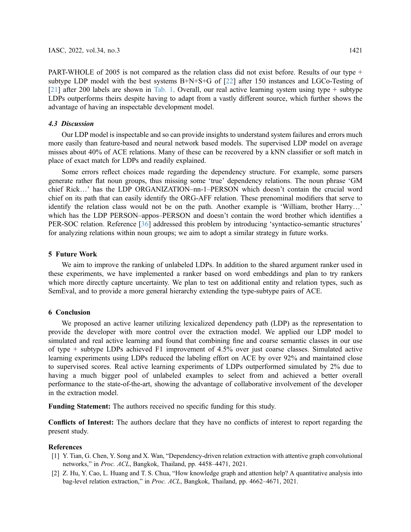PART-WHOLE of 2005 is not compared as the relation class did not exist before. Results of our type + subtype LDP model with the best systems B+N+S+G of [[22\]](#page-7-7) after 150 instances and LGCo-Testing of [[21](#page-7-6)] after 200 labels are shown in [Tab. 1.](#page-5-0) Overall, our real active learning system using type + subtype LDPs outperforms theirs despite having to adapt from a vastly different source, which further shows the advantage of having an inspectable development model.

### 4.3 Discussion

Our LDP model is inspectable and so can provide insights to understand system failures and errors much more easily than feature-based and neural network based models. The supervised LDP model on average misses about 40% of ACE relations. Many of these can be recovered by a kNN classifier or soft match in place of exact match for LDPs and readily explained.

Some errors reflect choices made regarding the dependency structure. For example, some parsers generate rather flat noun groups, thus missing some 'true' dependency relations. The noun phrase 'GM chief Rick…' has the LDP ORGANIZATION–nn-1–PERSON which doesn't contain the crucial word chief on its path that can easily identify the ORG-AFF relation. These prenominal modifiers that serve to identify the relation class would not be on the path. Another example is 'William, brother Harry…' which has the LDP PERSON–appos–PERSON and doesn't contain the word brother which identifies a PER-SOC relation. Reference [\[36](#page-8-10)] addressed this problem by introducing 'syntactico-semantic structures' for analyzing relations within noun groups; we aim to adopt a similar strategy in future works.

# 5 Future Work

We aim to improve the ranking of unlabeled LDPs. In addition to the shared argument ranker used in these experiments, we have implemented a ranker based on word embeddings and plan to try rankers which more directly capture uncertainty. We plan to test on additional entity and relation types, such as SemEval, and to provide a more general hierarchy extending the type-subtype pairs of ACE.

#### 6 Conclusion

We proposed an active learner utilizing lexicalized dependency path (LDP) as the representation to provide the developer with more control over the extraction model. We applied our LDP model to simulated and real active learning and found that combining fine and coarse semantic classes in our use of type + subtype LDPs achieved F1 improvement of 4.5% over just coarse classes. Simulated active learning experiments using LDPs reduced the labeling effort on ACE by over 92% and maintained close to supervised scores. Real active learning experiments of LDPs outperformed simulated by 2% due to having a much bigger pool of unlabeled examples to select from and achieved a better overall performance to the state-of-the-art, showing the advantage of collaborative involvement of the developer in the extraction model.

Funding Statement: The authors received no specific funding for this study.

Conflicts of Interest: The authors declare that they have no conflicts of interest to report regarding the present study.

## References

- <span id="page-6-0"></span>[1] Y. Tian, G. Chen, Y. Song and X. Wan, "Dependency-driven relation extraction with attentive graph convolutional networks," in Proc. ACL, Bangkok, Thailand, pp. 4458–4471, 2021.
- [2] Z. Hu, Y. Cao, L. Huang and T. S. Chua, "How knowledge graph and attention help? A quantitative analysis into bag-level relation extraction," in Proc. ACL, Bangkok, Thailand, pp. 4662–4671, 2021.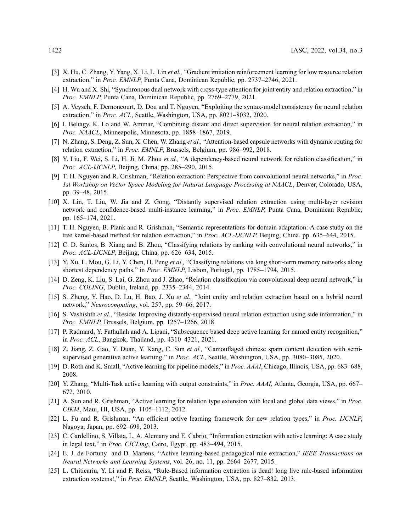- [3] X. Hu, C. Zhang, Y. Yang, X. Li, L. Lin et al., "Gradient imitation reinforcement learning for low resource relation extraction," in Proc. EMNLP, Punta Cana, Dominican Republic, pp. 2737–2746, 2021.
- [4] H. Wu and X. Shi, "Synchronous dual network with cross-type attention for joint entity and relation extraction," in Proc. EMNLP, Punta Cana, Dominican Republic, pp. 2769–2779, 2021.
- [5] A. Veyseh, F. Dernoncourt, D. Dou and T. Nguyen, "Exploiting the syntax-model consistency for neural relation extraction," in Proc. ACL, Seattle, Washington, USA, pp. 8021–8032, 2020.
- [6] I. Beltagy, K. Lo and W. Ammar, "Combining distant and direct supervision for neural relation extraction," in Proc. NAACL, Minneapolis, Minnesota, pp. 1858–1867, 2019.
- [7] N. Zhang, S. Deng, Z. Sun, X. Chen, W. Zhang *et al.*, "Attention-based capsule networks with dynamic routing for relation extraction," in Proc. EMNLP, Brussels, Belgium, pp. 986–992, 2018.
- [8] Y. Liu, F. Wei, S. Li, H. Ji, M. Zhou et al., "A dependency-based neural network for relation classification," in Proc. ACL-IJCNLP, Beijing, China, pp. 285–290, 2015.
- [9] T. H. Nguyen and R. Grishman, "Relation extraction: Perspective from convolutional neural networks," in Proc. 1st Workshop on Vector Space Modeling for Natural Language Processing at NAACL, Denver, Colorado, USA, pp. 39–48, 2015.
- [10] X. Lin, T. Liu, W. Jia and Z. Gong, "Distantly supervised relation extraction using multi-layer revision network and confidence-based multi-instance learning," in Proc. EMNLP, Punta Cana, Dominican Republic, pp. 165–174, 2021.
- [11] T. H. Nguyen, B. Plank and R. Grishman, "Semantic representations for domain adaptation: A case study on the tree kernel-based method for relation extraction," in Proc. ACL-IJCNLP, Beijing, China, pp. 635–644, 2015.
- [12] C. D. Santos, B. Xiang and B. Zhou, "Classifying relations by ranking with convolutional neural networks," in Proc. ACL-IJCNLP, Beijing, China, pp. 626–634, 2015.
- [13] Y. Xu, L. Mou, G. Li, Y. Chen, H. Peng et al., "Classifying relations via long short-term memory networks along shortest dependency paths," in Proc. EMNLP, Lisbon, Portugal, pp. 1785–1794, 2015.
- [14] D. Zeng, K. Liu, S. Lai, G. Zhou and J. Zhao, "Relation classification via convolutional deep neural network," in Proc. COLING, Dublin, Ireland, pp. 2335–2344, 2014.
- [15] S. Zheng, Y. Hao, D. Lu, H. Bao, J. Xu et al., "Joint entity and relation extraction based on a hybrid neural network," Neurocomputing, vol. 257, pp. 59–66, 2017.
- <span id="page-7-0"></span>[16] S. Vashishth et al., "Reside: Improving distantly-supervised neural relation extraction using side information," in Proc. EMNLP, Brussels, Belgium, pp. 1257–1266, 2018.
- <span id="page-7-1"></span>[17] P. Radmard, Y. Fathullah and A. Lipani, "Subsequence based deep active learning for named entity recognition," in Proc. ACL, Bangkok, Thailand, pp. 4310–4321, 2021.
- [18] Z. Jiang, Z. Gao, Y. Duan, Y. Kang, C. Sun et al., "Camouflaged chinese spam content detection with semisupervised generative active learning," in Proc. ACL, Seattle, Washington, USA, pp. 3080–3085, 2020.
- <span id="page-7-4"></span>[19] D. Roth and K. Small, "Active learning for pipeline models," in Proc. AAAI, Chicago, Illinois, USA, pp. 683–688, 2008.
- <span id="page-7-5"></span>[20] Y. Zhang, "Multi-Task active learning with output constraints," in Proc. AAAI, Atlanta, Georgia, USA, pp. 667– 672, 2010.
- <span id="page-7-6"></span>[21] A. Sun and R. Grishman, "Active learning for relation type extension with local and global data views," in Proc. CIKM, Maui, HI, USA, pp. 1105–1112, 2012.
- <span id="page-7-7"></span>[22] L. Fu and R. Grishman, "An efficient active learning framework for new relation types," in *Proc. IJCNLP*, Nagoya, Japan, pp. 692–698, 2013.
- <span id="page-7-8"></span>[23] C. Cardellino, S. Villata, L. A. Alemany and E. Cabrio, "Information extraction with active learning: A case study in legal text," in Proc. CICLing, Cairo, Egypt, pp. 483–494, 2015.
- <span id="page-7-2"></span>[24] E. J. de Fortuny and D. Martens, "Active learning-based pedagogical rule extraction," IEEE Transactions on Neural Networks and Learning Systems, vol. 26, no. 11, pp. 2664–2677, 2015.
- <span id="page-7-3"></span>[25] L. Chiticariu, Y. Li and F. Reiss, "Rule-Based information extraction is dead! long live rule-based information extraction systems!," in Proc. EMNLP, Seattle, Washington, USA, pp. 827–832, 2013.